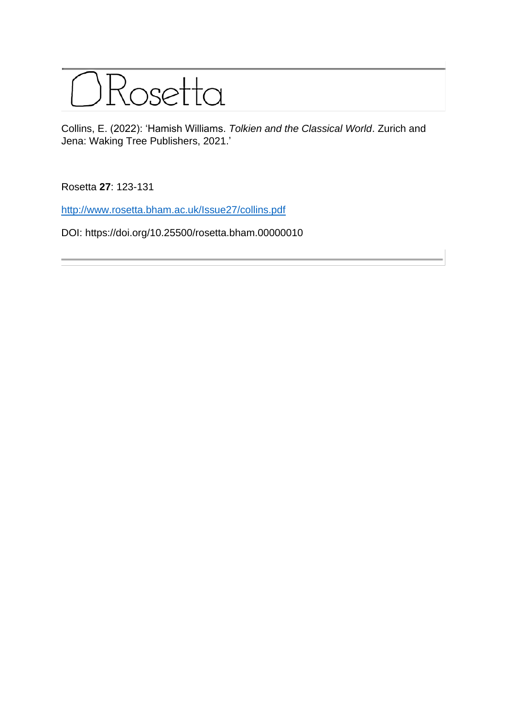

Collins, E. (2022): 'Hamish Williams. *Tolkien and the Classical World*. Zurich and Jena: Waking Tree Publishers, 2021.'

Rosetta **27**: 123-131

<http://www.rosetta.bham.ac.uk/Issue27/collins.pdf>

DOI: https://doi.org/10.25500/rosetta.bham.00000010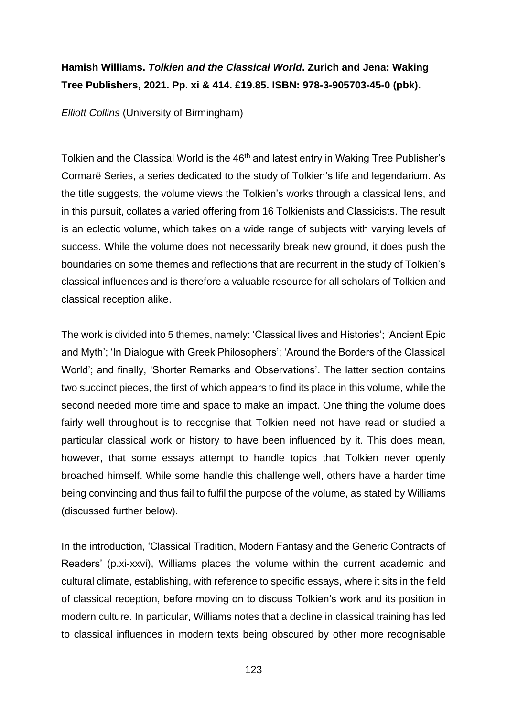## **Hamish Williams.** *Tolkien and the Classical World***. Zurich and Jena: Waking Tree Publishers, 2021. Pp. xi & 414. £19.85. ISBN: 978-3-905703-45-0 (pbk).**

*Elliott Collins* (University of Birmingham)

Tolkien and the Classical World is the 46<sup>th</sup> and latest entry in Waking Tree Publisher's Cormarë Series, a series dedicated to the study of Tolkien's life and legendarium. As the title suggests, the volume views the Tolkien's works through a classical lens, and in this pursuit, collates a varied offering from 16 Tolkienists and Classicists. The result is an eclectic volume, which takes on a wide range of subjects with varying levels of success. While the volume does not necessarily break new ground, it does push the boundaries on some themes and reflections that are recurrent in the study of Tolkien's classical influences and is therefore a valuable resource for all scholars of Tolkien and classical reception alike.

The work is divided into 5 themes, namely: 'Classical lives and Histories'; 'Ancient Epic and Myth'; 'In Dialogue with Greek Philosophers'; 'Around the Borders of the Classical World'; and finally, 'Shorter Remarks and Observations'. The latter section contains two succinct pieces, the first of which appears to find its place in this volume, while the second needed more time and space to make an impact. One thing the volume does fairly well throughout is to recognise that Tolkien need not have read or studied a particular classical work or history to have been influenced by it. This does mean, however, that some essays attempt to handle topics that Tolkien never openly broached himself. While some handle this challenge well, others have a harder time being convincing and thus fail to fulfil the purpose of the volume, as stated by Williams (discussed further below).

In the introduction, 'Classical Tradition, Modern Fantasy and the Generic Contracts of Readers' (p.xi-xxvi), Williams places the volume within the current academic and cultural climate, establishing, with reference to specific essays, where it sits in the field of classical reception, before moving on to discuss Tolkien's work and its position in modern culture. In particular, Williams notes that a decline in classical training has led to classical influences in modern texts being obscured by other more recognisable

123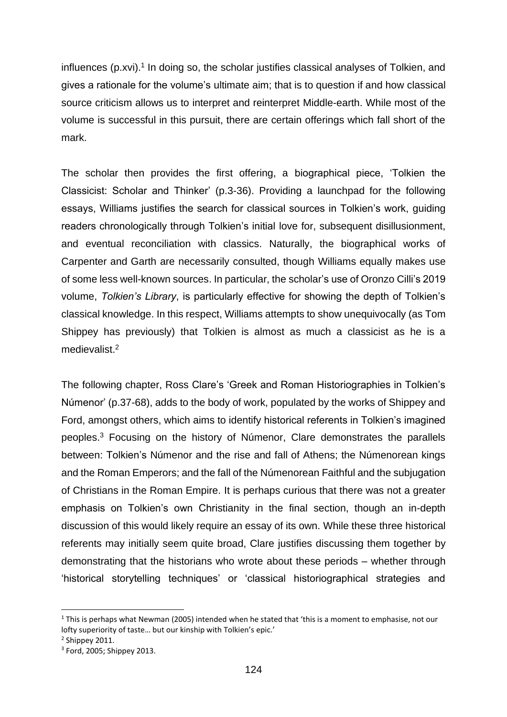influences (p.xvi).<sup>1</sup> In doing so, the scholar justifies classical analyses of Tolkien, and gives a rationale for the volume's ultimate aim; that is to question if and how classical source criticism allows us to interpret and reinterpret Middle-earth. While most of the volume is successful in this pursuit, there are certain offerings which fall short of the mark.

The scholar then provides the first offering, a biographical piece, 'Tolkien the Classicist: Scholar and Thinker' (p.3-36). Providing a launchpad for the following essays, Williams justifies the search for classical sources in Tolkien's work, guiding readers chronologically through Tolkien's initial love for, subsequent disillusionment, and eventual reconciliation with classics. Naturally, the biographical works of Carpenter and Garth are necessarily consulted, though Williams equally makes use of some less well-known sources. In particular, the scholar's use of Oronzo Cilli's 2019 volume, *Tolkien's Library*, is particularly effective for showing the depth of Tolkien's classical knowledge. In this respect, Williams attempts to show unequivocally (as Tom Shippey has previously) that Tolkien is almost as much a classicist as he is a medievalist.<sup>2</sup>

The following chapter, Ross Clare's 'Greek and Roman Historiographies in Tolkien's Númenor' (p.37-68), adds to the body of work, populated by the works of Shippey and Ford, amongst others, which aims to identify historical referents in Tolkien's imagined peoples.<sup>3</sup> Focusing on the history of Númenor, Clare demonstrates the parallels between: Tolkien's Númenor and the rise and fall of Athens; the Númenorean kings and the Roman Emperors; and the fall of the Númenorean Faithful and the subjugation of Christians in the Roman Empire. It is perhaps curious that there was not a greater emphasis on Tolkien's own Christianity in the final section, though an in-depth discussion of this would likely require an essay of its own. While these three historical referents may initially seem quite broad, Clare justifies discussing them together by demonstrating that the historians who wrote about these periods – whether through 'historical storytelling techniques' or 'classical historiographical strategies and

 $1$  This is perhaps what Newman (2005) intended when he stated that 'this is a moment to emphasise, not our lofty superiority of taste… but our kinship with Tolkien's epic.'

 $2$  Shippey 2011.

<sup>3</sup> Ford, 2005; Shippey 2013.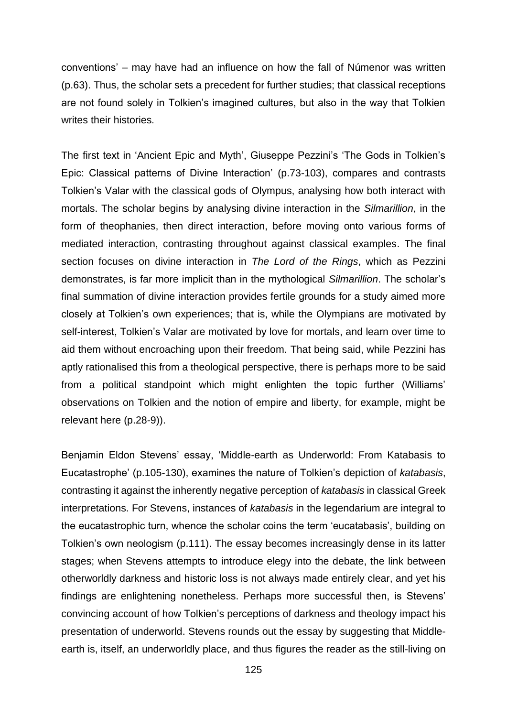conventions' – may have had an influence on how the fall of Númenor was written (p.63). Thus, the scholar sets a precedent for further studies; that classical receptions are not found solely in Tolkien's imagined cultures, but also in the way that Tolkien writes their histories.

The first text in 'Ancient Epic and Myth', Giuseppe Pezzini's 'The Gods in Tolkien's Epic: Classical patterns of Divine Interaction' (p.73-103), compares and contrasts Tolkien's Valar with the classical gods of Olympus, analysing how both interact with mortals. The scholar begins by analysing divine interaction in the *Silmarillion*, in the form of theophanies, then direct interaction, before moving onto various forms of mediated interaction, contrasting throughout against classical examples. The final section focuses on divine interaction in *The Lord of the Rings*, which as Pezzini demonstrates, is far more implicit than in the mythological *Silmarillion*. The scholar's final summation of divine interaction provides fertile grounds for a study aimed more closely at Tolkien's own experiences; that is, while the Olympians are motivated by self-interest, Tolkien's Valar are motivated by love for mortals, and learn over time to aid them without encroaching upon their freedom. That being said, while Pezzini has aptly rationalised this from a theological perspective, there is perhaps more to be said from a political standpoint which might enlighten the topic further (Williams' observations on Tolkien and the notion of empire and liberty, for example, might be relevant here (p.28-9)).

Benjamin Eldon Stevens' essay, 'Middle-earth as Underworld: From Katabasis to Eucatastrophe' (p.105-130), examines the nature of Tolkien's depiction of *katabasis*, contrasting it against the inherently negative perception of *katabasis* in classical Greek interpretations. For Stevens, instances of *katabasis* in the legendarium are integral to the eucatastrophic turn, whence the scholar coins the term 'eucatabasis', building on Tolkien's own neologism (p.111). The essay becomes increasingly dense in its latter stages; when Stevens attempts to introduce elegy into the debate, the link between otherworldly darkness and historic loss is not always made entirely clear, and yet his findings are enlightening nonetheless. Perhaps more successful then, is Stevens' convincing account of how Tolkien's perceptions of darkness and theology impact his presentation of underworld. Stevens rounds out the essay by suggesting that Middleearth is, itself, an underworldly place, and thus figures the reader as the still-living on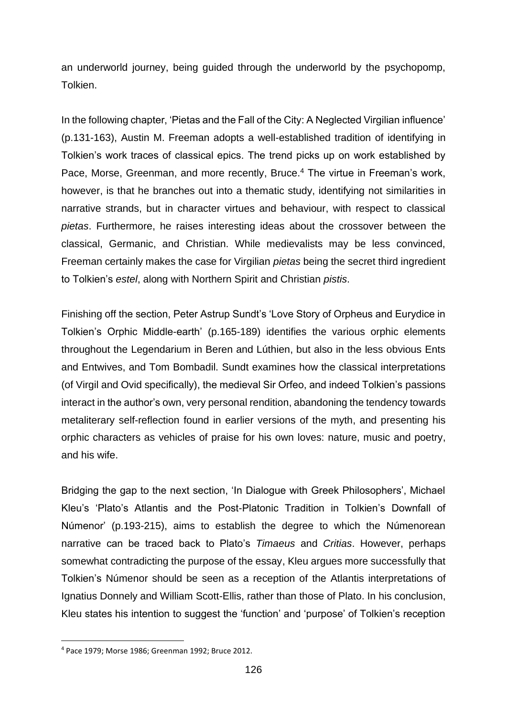an underworld journey, being guided through the underworld by the psychopomp, Tolkien.

In the following chapter, 'Pietas and the Fall of the City: A Neglected Virgilian influence' (p.131-163), Austin M. Freeman adopts a well-established tradition of identifying in Tolkien's work traces of classical epics. The trend picks up on work established by Pace, Morse, Greenman, and more recently, Bruce.<sup>4</sup> The virtue in Freeman's work, however, is that he branches out into a thematic study, identifying not similarities in narrative strands, but in character virtues and behaviour, with respect to classical *pietas*. Furthermore, he raises interesting ideas about the crossover between the classical, Germanic, and Christian. While medievalists may be less convinced, Freeman certainly makes the case for Virgilian *pietas* being the secret third ingredient to Tolkien's *estel*, along with Northern Spirit and Christian *pistis*.

Finishing off the section, Peter Astrup Sundt's 'Love Story of Orpheus and Eurydice in Tolkien's Orphic Middle-earth' (p.165-189) identifies the various orphic elements throughout the Legendarium in Beren and Lúthien, but also in the less obvious Ents and Entwives, and Tom Bombadil. Sundt examines how the classical interpretations (of Virgil and Ovid specifically), the medieval Sir Orfeo, and indeed Tolkien's passions interact in the author's own, very personal rendition, abandoning the tendency towards metaliterary self-reflection found in earlier versions of the myth, and presenting his orphic characters as vehicles of praise for his own loves: nature, music and poetry, and his wife.

Bridging the gap to the next section, 'In Dialogue with Greek Philosophers', Michael Kleu's 'Plato's Atlantis and the Post-Platonic Tradition in Tolkien's Downfall of Númenor' (p.193-215), aims to establish the degree to which the Númenorean narrative can be traced back to Plato's *Timaeus* and *Critias*. However, perhaps somewhat contradicting the purpose of the essay, Kleu argues more successfully that Tolkien's Númenor should be seen as a reception of the Atlantis interpretations of Ignatius Donnely and William Scott-Ellis, rather than those of Plato. In his conclusion, Kleu states his intention to suggest the 'function' and 'purpose' of Tolkien's reception

<sup>4</sup> Pace 1979; Morse 1986; Greenman 1992; Bruce 2012.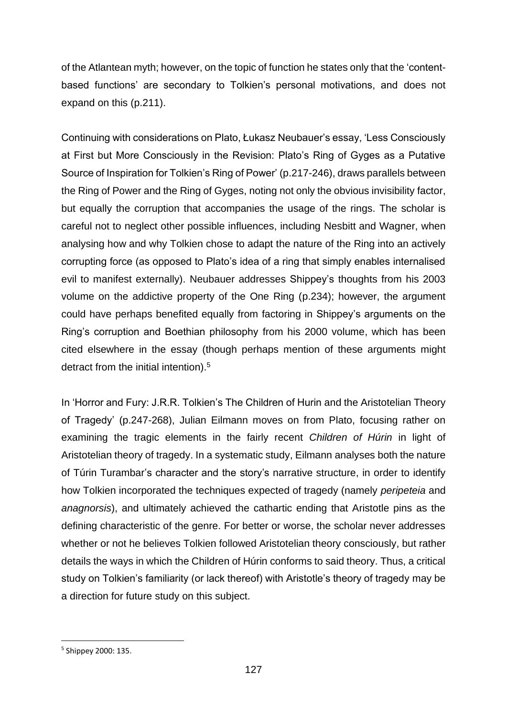of the Atlantean myth; however, on the topic of function he states only that the 'contentbased functions' are secondary to Tolkien's personal motivations, and does not expand on this (p.211).

Continuing with considerations on Plato, Łukasz Neubauer's essay, 'Less Consciously at First but More Consciously in the Revision: Plato's Ring of Gyges as a Putative Source of Inspiration for Tolkien's Ring of Power' (p.217-246), draws parallels between the Ring of Power and the Ring of Gyges, noting not only the obvious invisibility factor, but equally the corruption that accompanies the usage of the rings. The scholar is careful not to neglect other possible influences, including Nesbitt and Wagner, when analysing how and why Tolkien chose to adapt the nature of the Ring into an actively corrupting force (as opposed to Plato's idea of a ring that simply enables internalised evil to manifest externally). Neubauer addresses Shippey's thoughts from his 2003 volume on the addictive property of the One Ring (p.234); however, the argument could have perhaps benefited equally from factoring in Shippey's arguments on the Ring's corruption and Boethian philosophy from his 2000 volume, which has been cited elsewhere in the essay (though perhaps mention of these arguments might detract from the initial intention).<sup>5</sup>

In 'Horror and Fury: J.R.R. Tolkien's The Children of Hurin and the Aristotelian Theory of Tragedy' (p.247-268), Julian Eilmann moves on from Plato, focusing rather on examining the tragic elements in the fairly recent *Children of Húrin* in light of Aristotelian theory of tragedy. In a systematic study, Eilmann analyses both the nature of Túrin Turambar's character and the story's narrative structure, in order to identify how Tolkien incorporated the techniques expected of tragedy (namely *peripeteia* and *anagnorsis*), and ultimately achieved the cathartic ending that Aristotle pins as the defining characteristic of the genre. For better or worse, the scholar never addresses whether or not he believes Tolkien followed Aristotelian theory consciously, but rather details the ways in which the Children of Húrin conforms to said theory. Thus, a critical study on Tolkien's familiarity (or lack thereof) with Aristotle's theory of tragedy may be a direction for future study on this subject.

<sup>5</sup> Shippey 2000: 135.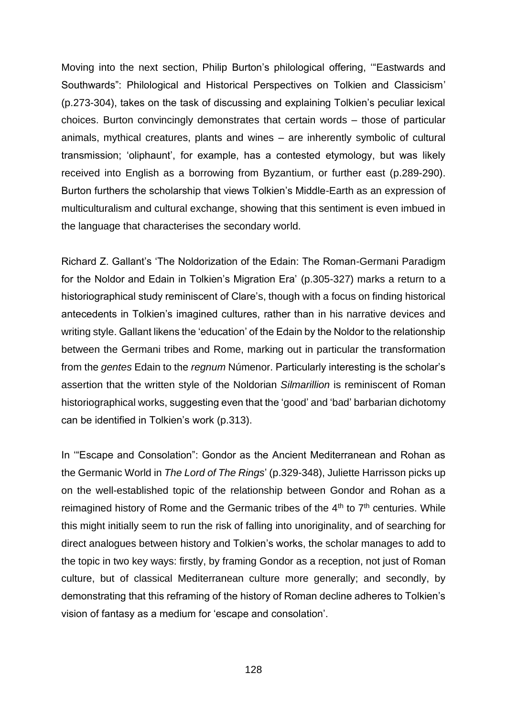Moving into the next section, Philip Burton's philological offering, '"Eastwards and Southwards": Philological and Historical Perspectives on Tolkien and Classicism' (p.273-304), takes on the task of discussing and explaining Tolkien's peculiar lexical choices. Burton convincingly demonstrates that certain words – those of particular animals, mythical creatures, plants and wines – are inherently symbolic of cultural transmission; 'oliphaunt', for example, has a contested etymology, but was likely received into English as a borrowing from Byzantium, or further east (p.289-290). Burton furthers the scholarship that views Tolkien's Middle-Earth as an expression of multiculturalism and cultural exchange, showing that this sentiment is even imbued in the language that characterises the secondary world.

Richard Z. Gallant's 'The Noldorization of the Edain: The Roman-Germani Paradigm for the Noldor and Edain in Tolkien's Migration Era' (p.305-327) marks a return to a historiographical study reminiscent of Clare's, though with a focus on finding historical antecedents in Tolkien's imagined cultures, rather than in his narrative devices and writing style. Gallant likens the 'education' of the Edain by the Noldor to the relationship between the Germani tribes and Rome, marking out in particular the transformation from the *gentes* Edain to the *regnum* Númenor. Particularly interesting is the scholar's assertion that the written style of the Noldorian *Silmarillion* is reminiscent of Roman historiographical works, suggesting even that the 'good' and 'bad' barbarian dichotomy can be identified in Tolkien's work (p.313).

In '"Escape and Consolation": Gondor as the Ancient Mediterranean and Rohan as the Germanic World in *The Lord of The Rings*' (p.329-348), Juliette Harrisson picks up on the well-established topic of the relationship between Gondor and Rohan as a reimagined history of Rome and the Germanic tribes of the  $4<sup>th</sup>$  to  $7<sup>th</sup>$  centuries. While this might initially seem to run the risk of falling into unoriginality, and of searching for direct analogues between history and Tolkien's works, the scholar manages to add to the topic in two key ways: firstly, by framing Gondor as a reception, not just of Roman culture, but of classical Mediterranean culture more generally; and secondly, by demonstrating that this reframing of the history of Roman decline adheres to Tolkien's vision of fantasy as a medium for 'escape and consolation'.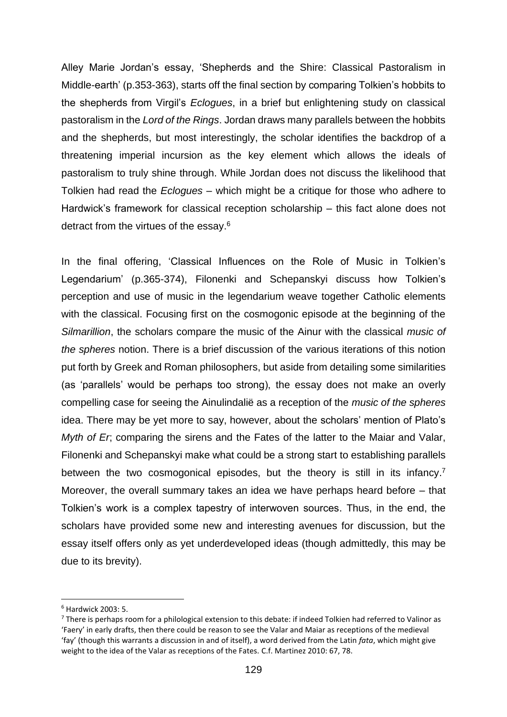Alley Marie Jordan's essay, 'Shepherds and the Shire: Classical Pastoralism in Middle-earth' (p.353-363), starts off the final section by comparing Tolkien's hobbits to the shepherds from Virgil's *Eclogues*, in a brief but enlightening study on classical pastoralism in the *Lord of the Rings*. Jordan draws many parallels between the hobbits and the shepherds, but most interestingly, the scholar identifies the backdrop of a threatening imperial incursion as the key element which allows the ideals of pastoralism to truly shine through. While Jordan does not discuss the likelihood that Tolkien had read the *Eclogues* – which might be a critique for those who adhere to Hardwick's framework for classical reception scholarship – this fact alone does not detract from the virtues of the essay.<sup>6</sup>

In the final offering, 'Classical Influences on the Role of Music in Tolkien's Legendarium' (p.365-374), Filonenki and Schepanskyi discuss how Tolkien's perception and use of music in the legendarium weave together Catholic elements with the classical. Focusing first on the cosmogonic episode at the beginning of the *Silmarillion*, the scholars compare the music of the Ainur with the classical *music of the spheres* notion. There is a brief discussion of the various iterations of this notion put forth by Greek and Roman philosophers, but aside from detailing some similarities (as 'parallels' would be perhaps too strong), the essay does not make an overly compelling case for seeing the Ainulindalië as a reception of the *music of the spheres* idea. There may be yet more to say, however, about the scholars' mention of Plato's *Myth of Er*; comparing the sirens and the Fates of the latter to the Maiar and Valar, Filonenki and Schepanskyi make what could be a strong start to establishing parallels between the two cosmogonical episodes, but the theory is still in its infancy.<sup>7</sup> Moreover, the overall summary takes an idea we have perhaps heard before – that Tolkien's work is a complex tapestry of interwoven sources. Thus, in the end, the scholars have provided some new and interesting avenues for discussion, but the essay itself offers only as yet underdeveloped ideas (though admittedly, this may be due to its brevity).

<sup>6</sup> Hardwick 2003: 5.

 $7$  There is perhaps room for a philological extension to this debate: if indeed Tolkien had referred to Valinor as 'Faery' in early drafts, then there could be reason to see the Valar and Maiar as receptions of the medieval 'fay' (though this warrants a discussion in and of itself), a word derived from the Latin *fata*, which might give weight to the idea of the Valar as receptions of the Fates. C.f. Martinez 2010: 67, 78.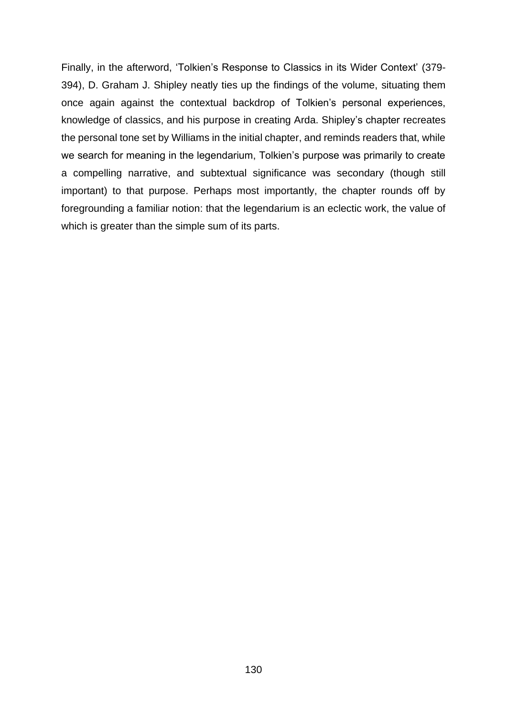Finally, in the afterword, 'Tolkien's Response to Classics in its Wider Context' (379- 394), D. Graham J. Shipley neatly ties up the findings of the volume, situating them once again against the contextual backdrop of Tolkien's personal experiences, knowledge of classics, and his purpose in creating Arda. Shipley's chapter recreates the personal tone set by Williams in the initial chapter, and reminds readers that, while we search for meaning in the legendarium, Tolkien's purpose was primarily to create a compelling narrative, and subtextual significance was secondary (though still important) to that purpose. Perhaps most importantly, the chapter rounds off by foregrounding a familiar notion: that the legendarium is an eclectic work, the value of which is greater than the simple sum of its parts.